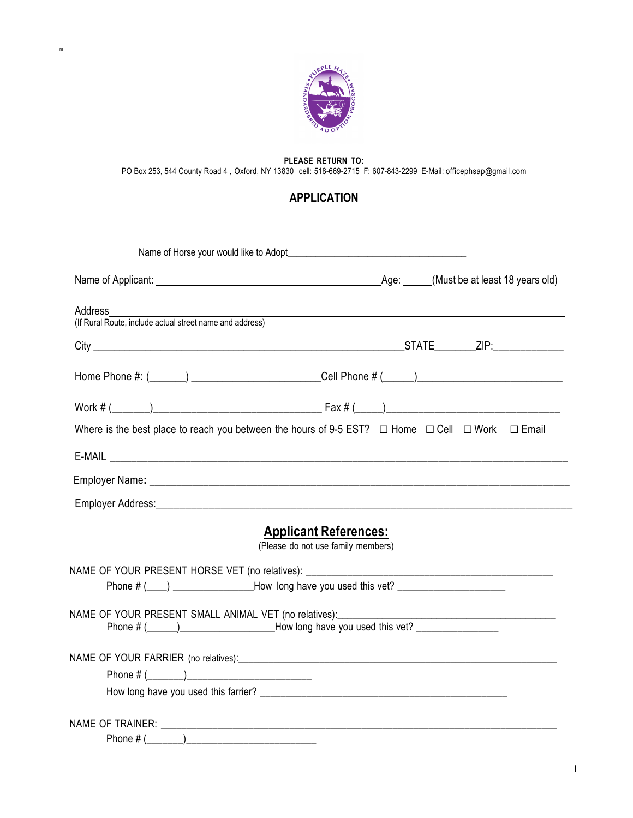

m

**PLEASE RETURN TO:** PO Box 253, 544 County Road 4 , Oxford, NY 13830 cell: 518-669-2715 F: 607-843-2299 E-Mail: officephsap@gmail.com

## **APPLICATION**

|                                                                      | Name of Horse your would like to Adopt Name Name of Horse your would like to Adopt                                  |
|----------------------------------------------------------------------|---------------------------------------------------------------------------------------------------------------------|
|                                                                      | Name of Applicant: 18 years old)                                                                                    |
| Address_<br>(If Rural Route, include actual street name and address) |                                                                                                                     |
|                                                                      |                                                                                                                     |
|                                                                      |                                                                                                                     |
|                                                                      |                                                                                                                     |
|                                                                      | Where is the best place to reach you between the hours of 9-5 EST? $\Box$ Home $\Box$ Cell $\Box$ Work $\Box$ Email |
|                                                                      |                                                                                                                     |
|                                                                      |                                                                                                                     |
|                                                                      |                                                                                                                     |
|                                                                      | <b>Applicant References:</b><br>(Please do not use family members)                                                  |
|                                                                      |                                                                                                                     |
|                                                                      |                                                                                                                     |
|                                                                      |                                                                                                                     |
|                                                                      |                                                                                                                     |
|                                                                      |                                                                                                                     |
|                                                                      |                                                                                                                     |
|                                                                      |                                                                                                                     |
|                                                                      |                                                                                                                     |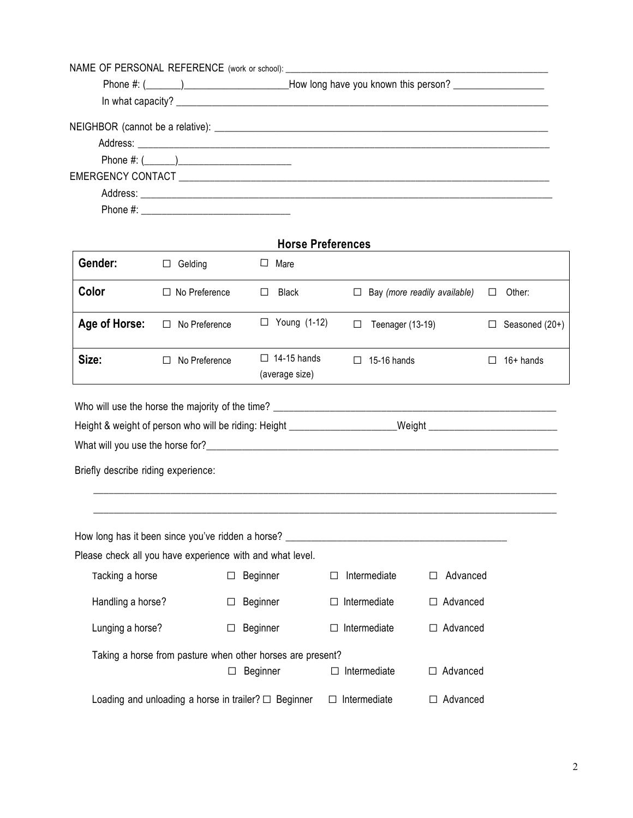|                                                                                                                |                                                            |                 | <b>Horse Preferences</b>             |                     |                    |                                     |        |                       |
|----------------------------------------------------------------------------------------------------------------|------------------------------------------------------------|-----------------|--------------------------------------|---------------------|--------------------|-------------------------------------|--------|-----------------------|
| Gender:                                                                                                        | $\Box$ Gelding                                             |                 | $\Box$ Mare                          |                     |                    |                                     |        |                       |
| Color                                                                                                          | $\Box$ No Preference                                       |                 | $\Box$ Black                         |                     |                    | $\Box$ Bay (more readily available) | $\Box$ | Other:                |
| Age of Horse:                                                                                                  | No Preference<br>$\Box$                                    |                 | $\Box$ Young (1-12)                  | $\Box$              | Teenager (13-19)   |                                     |        | $\Box$ Seasoned (20+) |
| Size:                                                                                                          | No Preference<br>П.                                        |                 | $\Box$ 14-15 hands<br>(average size) |                     | $\Box$ 15-16 hands |                                     | П.     | $16+$ hands           |
|                                                                                                                |                                                            |                 |                                      |                     |                    |                                     |        |                       |
| Height & weight of person who will be riding: Height _____________________Weight _____________________________ |                                                            |                 |                                      |                     |                    |                                     |        |                       |
|                                                                                                                |                                                            |                 |                                      |                     |                    |                                     |        |                       |
|                                                                                                                |                                                            |                 |                                      |                     |                    |                                     |        |                       |
| Briefly describe riding experience:                                                                            |                                                            |                 |                                      |                     |                    |                                     |        |                       |
|                                                                                                                |                                                            |                 |                                      |                     |                    |                                     |        |                       |
|                                                                                                                |                                                            |                 |                                      |                     |                    |                                     |        |                       |
| How long has it been since you've ridden a horse?                                                              |                                                            |                 |                                      |                     |                    |                                     |        |                       |
| Please check all you have experience with and what level.                                                      |                                                            |                 |                                      |                     |                    |                                     |        |                       |
| Tacking a horse                                                                                                |                                                            | $\Box$ Beginner |                                      | □                   | Intermediate       | Advanced<br>П                       |        |                       |
| Handling a horse?                                                                                              |                                                            | Beginner<br>ш   |                                      | ⊔                   | Intermediate       | $\Box$ Advanced                     |        |                       |
| Lunging a horse?                                                                                               |                                                            | Beginner<br>ப   |                                      | $\Box$ Intermediate |                    | $\Box$ Advanced                     |        |                       |
|                                                                                                                | Taking a horse from pasture when other horses are present? |                 |                                      |                     |                    |                                     |        |                       |
|                                                                                                                |                                                            |                 | Beginner                             |                     | Intermediate       | Advanced                            |        |                       |
|                                                                                                                | Loading and unloading a horse in trailer? $\Box$ Beginner  |                 |                                      | $\Box$ Intermediate |                    | $\Box$ Advanced                     |        |                       |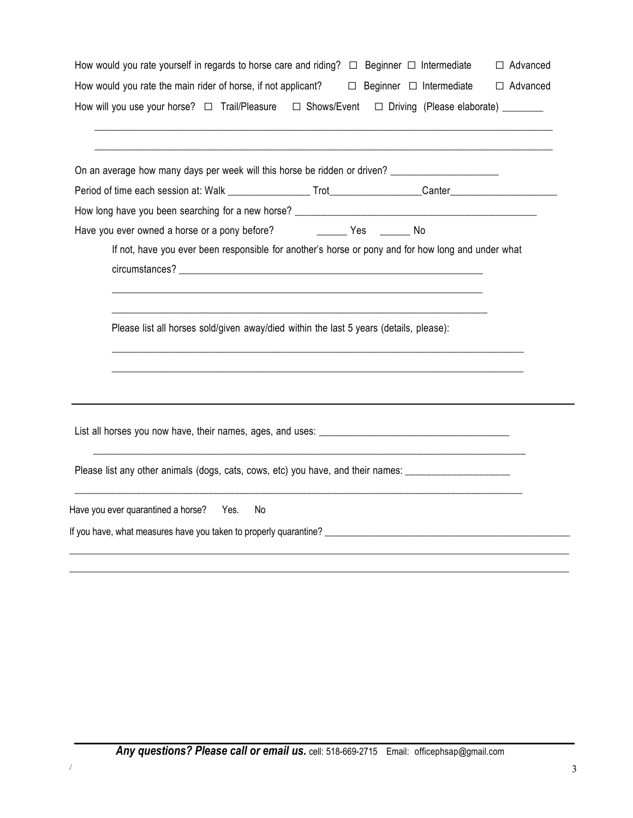| How would you rate yourself in regards to horse care and riding? $\Box$ Beginner $\Box$ Intermediate    |                                    | $\Box$ Advanced |
|---------------------------------------------------------------------------------------------------------|------------------------------------|-----------------|
| How would you rate the main rider of horse, if not applicant? $\square$ Beginner $\square$ Intermediate |                                    | □ Advanced      |
| How will you use your horse?  □ Trail/Pleasure  □ Shows/Event  □ Driving (Please elaborate) ______      |                                    |                 |
| On an average how many days per week will this horse be ridden or driven? _________________________     |                                    |                 |
|                                                                                                         |                                    |                 |
|                                                                                                         |                                    |                 |
| Have you ever owned a horse or a pony before?                                                           | <b>Example 18 Yes No. No. 1998</b> |                 |
| If not, have you ever been responsible for another's horse or pony and for how long and under what      |                                    |                 |
| Please list all horses sold/given away/died within the last 5 years (details, please):                  |                                    |                 |
|                                                                                                         |                                    |                 |
| Please list any other animals (dogs, cats, cows, etc) you have, and their names: ___________________    |                                    |                 |
| Have you ever quarantined a horse?<br>Yes.<br>No                                                        |                                    |                 |
|                                                                                                         |                                    |                 |
|                                                                                                         |                                    |                 |

/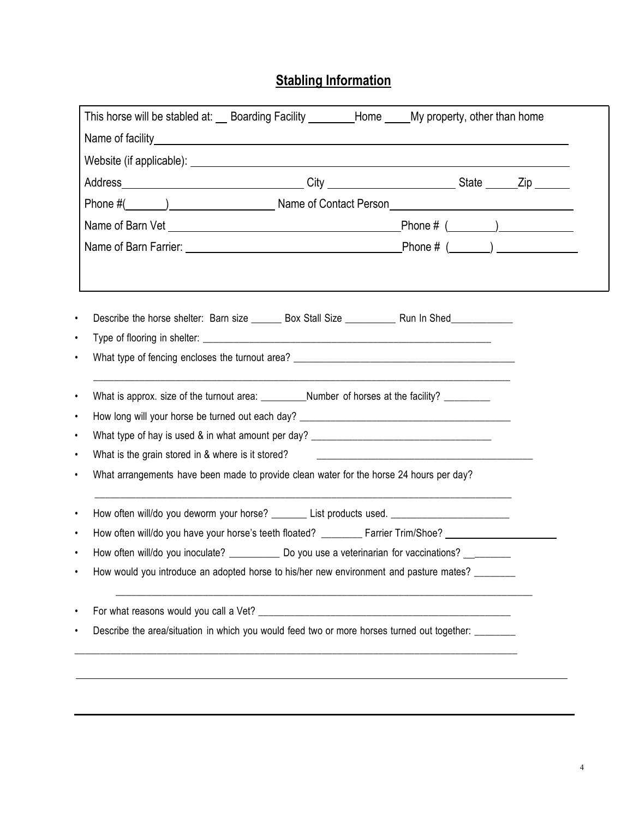## **Stabling Information**

| This horse will be stabled at: Boarding Facility ___________Home ______My property, other than home  |                                                                                             |  |
|------------------------------------------------------------------------------------------------------|---------------------------------------------------------------------------------------------|--|
|                                                                                                      |                                                                                             |  |
|                                                                                                      |                                                                                             |  |
|                                                                                                      |                                                                                             |  |
|                                                                                                      |                                                                                             |  |
|                                                                                                      |                                                                                             |  |
|                                                                                                      |                                                                                             |  |
|                                                                                                      |                                                                                             |  |
|                                                                                                      |                                                                                             |  |
| Describe the horse shelter: Barn size ________ Box Stall Size ______________ Run In Shed____________ |                                                                                             |  |
|                                                                                                      |                                                                                             |  |
|                                                                                                      |                                                                                             |  |
| What is approx. size of the turnout area: ___________Number of horses at the facility? __________    |                                                                                             |  |
|                                                                                                      |                                                                                             |  |
|                                                                                                      |                                                                                             |  |
| What is the grain stored in & where is it stored?                                                    |                                                                                             |  |
| What arrangements have been made to provide clean water for the horse 24 hours per day?              |                                                                                             |  |
| How often will/do you deworm your horse? _________ List products used. ____________________________  |                                                                                             |  |
|                                                                                                      |                                                                                             |  |
| How often will/do you inoculate? _____________ Do you use a veterinarian for vaccinations? _________ |                                                                                             |  |
| How would you introduce an adopted horse to his/her new environment and pasture mates? _______       |                                                                                             |  |
|                                                                                                      |                                                                                             |  |
|                                                                                                      | Describe the area/situation in which you would feed two or more horses turned out together: |  |